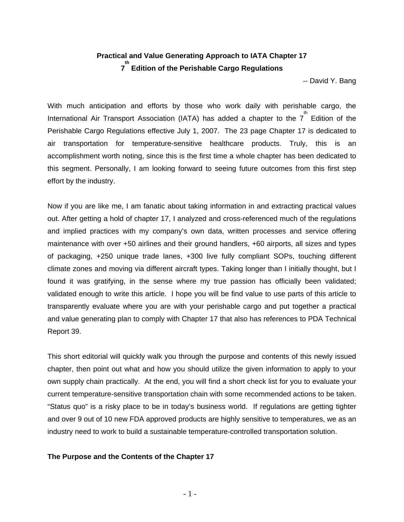# **Practical and Value Generating Approach to IATA Chapter 17 7 th Edition of the Perishable Cargo Regulations**

-- David Y. Bang

With much anticipation and efforts by those who work daily with perishable cargo, the International Air Transport Association (IATA) has added a chapter to the  $7^{th}$  Edition of the Perishable Cargo Regulations effective July 1, 2007. The 23 page Chapter 17 is dedicated to air transportation for temperature-sensitive healthcare products. Truly, this is an accomplishment worth noting, since this is the first time a whole chapter has been dedicated to this segment. Personally, I am looking forward to seeing future outcomes from this first step effort by the industry.

Now if you are like me, I am fanatic about taking information in and extracting practical values out. After getting a hold of chapter 17, I analyzed and cross-referenced much of the regulations and implied practices with my company's own data, written processes and service offering maintenance with over +50 airlines and their ground handlers, +60 airports, all sizes and types of packaging, +250 unique trade lanes, +300 live fully compliant SOPs, touching different climate zones and moving via different aircraft types. Taking longer than I initially thought, but I found it was gratifying, in the sense where my true passion has officially been validated; validated enough to write this article. I hope you will be find value to use parts of this article to transparently evaluate where you are with your perishable cargo and put together a practical and value generating plan to comply with Chapter 17 that also has references to PDA Technical Report 39.

This short editorial will quickly walk you through the purpose and contents of this newly issued chapter, then point out what and how you should utilize the given information to apply to your own supply chain practically. At the end, you will find a short check list for you to evaluate your current temperature-sensitive transportation chain with some recommended actions to be taken. "Status quo" is a risky place to be in today's business world. If regulations are getting tighter and over 9 out of 10 new FDA approved products are highly sensitive to temperatures, we as an industry need to work to build a sustainable temperature-controlled transportation solution.

#### **The Purpose and the Contents of the Chapter 17**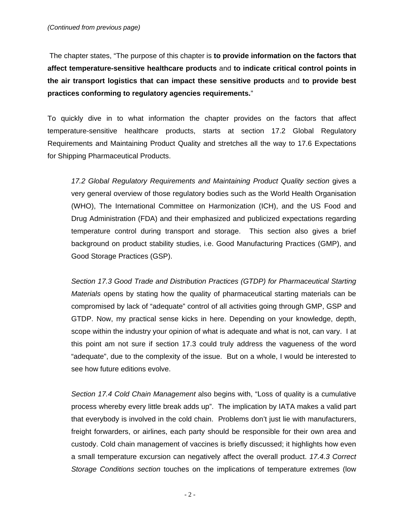The chapter states, "The purpose of this chapter is **to provide information on the factors that affect temperature-sensitive healthcare products** and **to indicate critical control points in the air transport logistics that can impact these sensitive products** and **to provide best practices conforming to regulatory agencies requirements.**"

To quickly dive in to what information the chapter provides on the factors that affect temperature-sensitive healthcare products, starts at section 17.2 Global Regulatory Requirements and Maintaining Product Quality and stretches all the way to 17.6 Expectations for Shipping Pharmaceutical Products.

*17.2 Global Regulatory Requirements and Maintaining Product Quality section* gives a very general overview of those regulatory bodies such as the World Health Organisation (WHO), The International Committee on Harmonization (ICH), and the US Food and Drug Administration (FDA) and their emphasized and publicized expectations regarding temperature control during transport and storage. This section also gives a brief background on product stability studies, i.e. Good Manufacturing Practices (GMP), and Good Storage Practices (GSP).

*Section 17.3 Good Trade and Distribution Practices (GTDP) for Pharmaceutical Starting Materials* opens by stating how the quality of pharmaceutical starting materials can be compromised by lack of "adequate" control of all activities going through GMP, GSP and GTDP. Now, my practical sense kicks in here. Depending on your knowledge, depth, scope within the industry your opinion of what is adequate and what is not, can vary. I at this point am not sure if section 17.3 could truly address the vagueness of the word "adequate", due to the complexity of the issue. But on a whole, I would be interested to see how future editions evolve.

*Section 17.4 Cold Chain Management* also begins with, "Loss of quality is a cumulative process whereby every little break adds up". The implication by IATA makes a valid part that everybody is involved in the cold chain. Problems don't just lie with manufacturers, freight forwarders, or airlines, each party should be responsible for their own area and custody. Cold chain management of vaccines is briefly discussed; it highlights how even a small temperature excursion can negatively affect the overall product. *17.4.3 Correct Storage Conditions section* touches on the implications of temperature extremes (low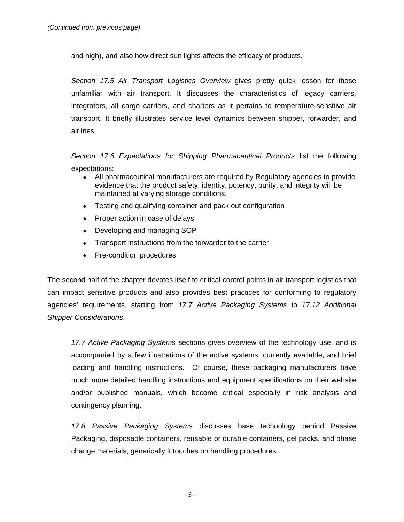and high), and also how direct sun lights affects the efficacy of products.

*Section 17.5 Air Transport Logistics Overview* gives pretty quick lesson for those unfamiliar with air transport. It discusses the characteristics of legacy carriers, integrators, all cargo carriers, and charters as it pertains to temperature-sensitive air transport. It briefly illustrates service level dynamics between shipper, forwarder, and airlines.

*Section 17.6 Expectations for Shipping Pharmaceutical Products* list the following expectations:

- All pharmaceutical manufacturers are required by Regulatory agencies to provide evidence that the product safety, identity, potency, purity, and integrity will be maintained at varying storage conditions.
- Testing and qualifying container and pack out configuration
- Proper action in case of delays
- Developing and managing SOP
- Transport instructions from the forwarder to the carrier
- Pre-condition procedures

The second half of the chapter devotes itself to critical control points in air transport logistics that can impact sensitive products and also provides best practices for conforming to regulatory agencies' requirements, starting from *17.7 Active Packaging Systems* to *17.12 Additional Shipper Considerations*.

*17.7 Active Packaging Systems* sections gives overview of the technology use, and is accompanied by a few illustrations of the active systems, currently available, and brief loading and handling instructions. Of course, these packaging manufacturers have much more detailed handling instructions and equipment specifications on their website and/or published manuals, which become critical especially in risk analysis and contingency planning.

*17.8 Passive Packaging Systems* discusses base technology behind Passive Packaging, disposable containers, reusable or durable containers, gel packs, and phase change materials; generically it touches on handling procedures.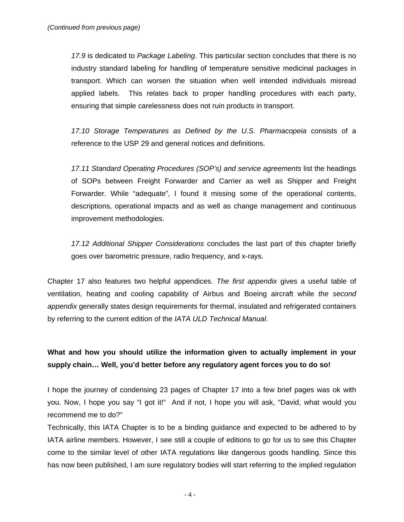*17.9* is dedicated to *Package Labeling*. This particular section concludes that there is no industry standard labeling for handling of temperature sensitive medicinal packages in transport. Which can worsen the situation when well intended individuals misread applied labels. This relates back to proper handling procedures with each party, ensuring that simple carelessness does not ruin products in transport.

*17.10 Storage Temperatures as Defined by the U.S. Pharmacopeia* consists of a reference to the USP 29 and general notices and definitions.

*17.11 Standard Operating Procedures (SOP's) and service agreements* list the headings of SOPs between Freight Forwarder and Carrier as well as Shipper and Freight Forwarder. While "adequate", I found it missing some of the operational contents, descriptions, operational impacts and as well as change management and continuous improvement methodologies.

*17.12 Additional Shipper Considerations* concludes the last part of this chapter briefly goes over barometric pressure, radio frequency, and x-rays.

Chapter 17 also features two helpful appendices. *The first appendix* gives a useful table of ventilation, heating and cooling capability of Airbus and Boeing aircraft while *the second appendix* generally states design requirements for thermal, insulated and refrigerated containers by referring to the current edition of the *IATA ULD Technical Manual*.

## **What and how you should utilize the information given to actually implement in your supply chain… Well, you'd better before any regulatory agent forces you to do so!**

I hope the journey of condensing 23 pages of Chapter 17 into a few brief pages was ok with you. Now, I hope you say "I got it!" And if not, I hope you will ask, "David, what would you recommend me to do?"

Technically, this IATA Chapter is to be a binding guidance and expected to be adhered to by IATA airline members. However, I see still a couple of editions to go for us to see this Chapter come to the similar level of other IATA regulations like dangerous goods handling. Since this has now been published, I am sure regulatory bodies will start referring to the implied regulation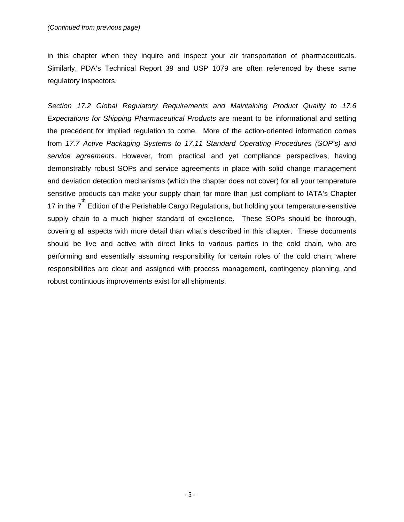in this chapter when they inquire and inspect your air transportation of pharmaceuticals. Similarly, PDA's Technical Report 39 and USP 1079 are often referenced by these same regulatory inspectors.

*Section 17.2 Global Regulatory Requirements and Maintaining Product Quality to 17.6 Expectations for Shipping Pharmaceutical Products* are meant to be informational and setting the precedent for implied regulation to come. More of the action-oriented information comes from *17.7 Active Packaging Systems to 17.11 Standard Operating Procedures (SOP's) and service agreements*. However, from practical and yet compliance perspectives, having demonstrably robust SOPs and service agreements in place with solid change management and deviation detection mechanisms (which the chapter does not cover) for all your temperature sensitive products can make your supply chain far more than just compliant to IATA's Chapter 17 in the  $7^{th}$  Edition of the Perishable Cargo Regulations, but holding your temperature-sensitive supply chain to a much higher standard of excellence. These SOPs should be thorough, covering all aspects with more detail than what's described in this chapter. These documents should be live and active with direct links to various parties in the cold chain, who are performing and essentially assuming responsibility for certain roles of the cold chain; where responsibilities are clear and assigned with process management, contingency planning, and robust continuous improvements exist for all shipments.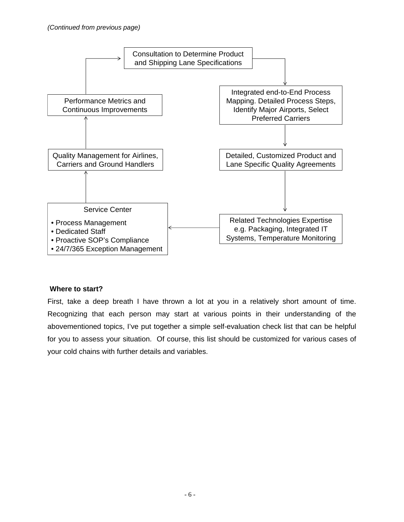

#### **Where to start?**

First, take a deep breath I have thrown a lot at you in a relatively short amount of time. Recognizing that each person may start at various points in their understanding of the abovementioned topics, I've put together a simple self-evaluation check list that can be helpful for you to assess your situation. Of course, this list should be customized for various cases of your cold chains with further details and variables.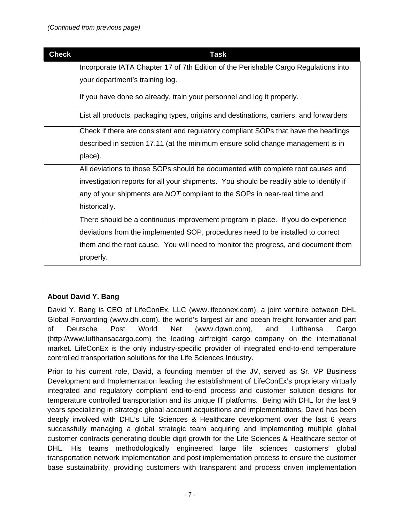| <b>Check</b> | <b>Task</b>                                                                             |
|--------------|-----------------------------------------------------------------------------------------|
|              | Incorporate IATA Chapter 17 of 7th Edition of the Perishable Cargo Regulations into     |
|              | your department's training log.                                                         |
|              | If you have done so already, train your personnel and log it properly.                  |
|              | List all products, packaging types, origins and destinations, carriers, and forwarders  |
|              | Check if there are consistent and regulatory compliant SOPs that have the headings      |
|              | described in section 17.11 (at the minimum ensure solid change management is in         |
|              | place).                                                                                 |
|              | All deviations to those SOPs should be documented with complete root causes and         |
|              | investigation reports for all your shipments. You should be readily able to identify if |
|              | any of your shipments are NOT compliant to the SOPs in near-real time and               |
|              | historically.                                                                           |
|              | There should be a continuous improvement program in place. If you do experience         |
|              | deviations from the implemented SOP, procedures need to be installed to correct         |
|              | them and the root cause. You will need to monitor the progress, and document them       |
|              | properly.                                                                               |

### **About David Y. Bang**

David Y. Bang is CEO of LifeConEx, LLC (www.lifeconex.com), a joint venture between DHL Global Forwarding (www.dhl.com), the world's largest air and ocean freight forwarder and part of Deutsche Post World Net (www.dpwn.com), and Lufthansa Cargo (http://www.lufthansacargo.com) the leading airfreight cargo company on the international market. LifeConEx is the only industry-specific provider of integrated end-to-end temperature controlled transportation solutions for the Life Sciences Industry.

Prior to his current role, David, a founding member of the JV, served as Sr. VP Business Development and Implementation leading the establishment of LifeConEx's proprietary virtually integrated and regulatory compliant end-to-end process and customer solution designs for temperature controlled transportation and its unique IT platforms. Being with DHL for the last 9 years specializing in strategic global account acquisitions and implementations, David has been deeply involved with DHL's Life Sciences & Healthcare development over the last 6 years successfully managing a global strategic team acquiring and implementing multiple global customer contracts generating double digit growth for the Life Sciences & Healthcare sector of DHL. His teams methodologically engineered large life sciences customers' global transportation network implementation and post implementation process to ensure the customer base sustainability, providing customers with transparent and process driven implementation